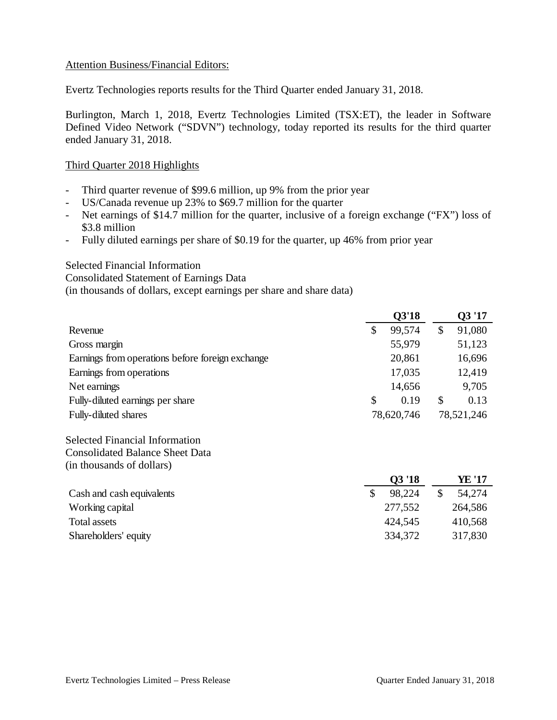# Attention Business/Financial Editors:

Evertz Technologies reports results for the Third Quarter ended January 31, 2018.

Burlington, March 1, 2018, Evertz Technologies Limited (TSX:ET), the leader in Software Defined Video Network ("SDVN") technology, today reported its results for the third quarter ended January 31, 2018.

# Third Quarter 2018 Highlights

- Third quarter revenue of \$99.6 million, up 9% from the prior year
- US/Canada revenue up 23% to \$69.7 million for the quarter
- Net earnings of \$14.7 million for the quarter, inclusive of a foreign exchange ("FX") loss of \$3.8 million
- Fully diluted earnings per share of \$0.19 for the quarter, up 46% from prior year

#### Selected Financial Information

Consolidated Statement of Earnings Data

(in thousands of dollars, except earnings per share and share data)

|                                                  |               | <b>Q3'18</b> |               | Q3 '17     |
|--------------------------------------------------|---------------|--------------|---------------|------------|
| Revenue                                          | \$            | 99,574       | $\mathcal{S}$ | 91,080     |
| Gross margin                                     |               | 55,979       |               | 51,123     |
| Earnings from operations before foreign exchange |               | 20,861       |               | 16,696     |
| Earnings from operations                         |               | 17,035       |               | 12,419     |
| Net earnings                                     |               | 14,656       |               | 9,705      |
| Fully-diluted earnings per share                 | \$            | 0.19         | $\mathcal{S}$ | 0.13       |
| Fully-diluted shares                             |               | 78,620,746   |               | 78,521,246 |
| <b>Selected Financial Information</b>            |               |              |               |            |
| <b>Consolidated Balance Sheet Data</b>           |               |              |               |            |
| (in thousands of dollars)                        |               |              |               |            |
|                                                  |               | Q3 '18       |               | YE '17     |
| Cash and cash equivalents                        | $\mathcal{S}$ | 98,224       | \$            | 54,274     |
| Working capital                                  |               | 277,552      |               | 264,586    |
| <b>Total assets</b>                              |               | 424,545      |               | 410,568    |
| Shareholders' equity                             |               | 334,372      |               | 317,830    |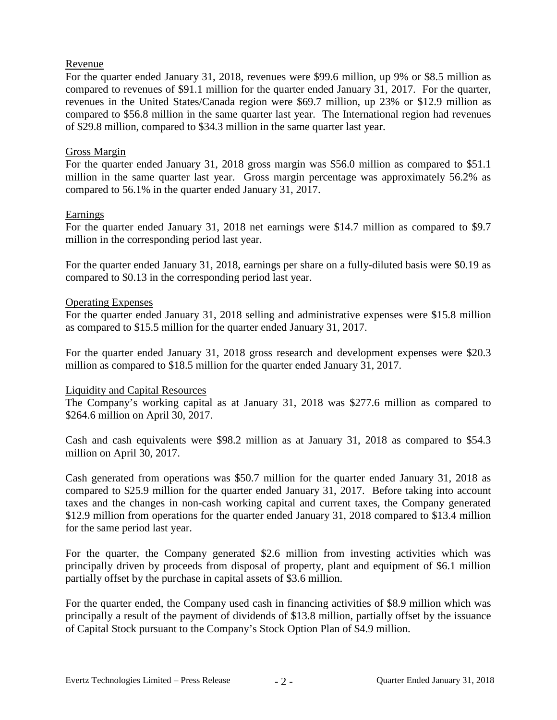# Revenue

For the quarter ended January 31, 2018, revenues were \$99.6 million, up 9% or \$8.5 million as compared to revenues of \$91.1 million for the quarter ended January 31, 2017. For the quarter, revenues in the United States/Canada region were \$69.7 million, up 23% or \$12.9 million as compared to \$56.8 million in the same quarter last year. The International region had revenues of \$29.8 million, compared to \$34.3 million in the same quarter last year.

# Gross Margin

For the quarter ended January 31, 2018 gross margin was \$56.0 million as compared to \$51.1 million in the same quarter last year. Gross margin percentage was approximately 56.2% as compared to 56.1% in the quarter ended January 31, 2017.

#### Earnings

For the quarter ended January 31, 2018 net earnings were \$14.7 million as compared to \$9.7 million in the corresponding period last year.

For the quarter ended January 31, 2018, earnings per share on a fully-diluted basis were \$0.19 as compared to \$0.13 in the corresponding period last year.

# Operating Expenses

For the quarter ended January 31, 2018 selling and administrative expenses were \$15.8 million as compared to \$15.5 million for the quarter ended January 31, 2017.

For the quarter ended January 31, 2018 gross research and development expenses were \$20.3 million as compared to \$18.5 million for the quarter ended January 31, 2017.

#### Liquidity and Capital Resources

The Company's working capital as at January 31, 2018 was \$277.6 million as compared to \$264.6 million on April 30, 2017.

Cash and cash equivalents were \$98.2 million as at January 31, 2018 as compared to \$54.3 million on April 30, 2017.

Cash generated from operations was \$50.7 million for the quarter ended January 31, 2018 as compared to \$25.9 million for the quarter ended January 31, 2017. Before taking into account taxes and the changes in non-cash working capital and current taxes, the Company generated \$12.9 million from operations for the quarter ended January 31, 2018 compared to \$13.4 million for the same period last year.

For the quarter, the Company generated \$2.6 million from investing activities which was principally driven by proceeds from disposal of property, plant and equipment of \$6.1 million partially offset by the purchase in capital assets of \$3.6 million.

For the quarter ended, the Company used cash in financing activities of \$8.9 million which was principally a result of the payment of dividends of \$13.8 million, partially offset by the issuance of Capital Stock pursuant to the Company's Stock Option Plan of \$4.9 million.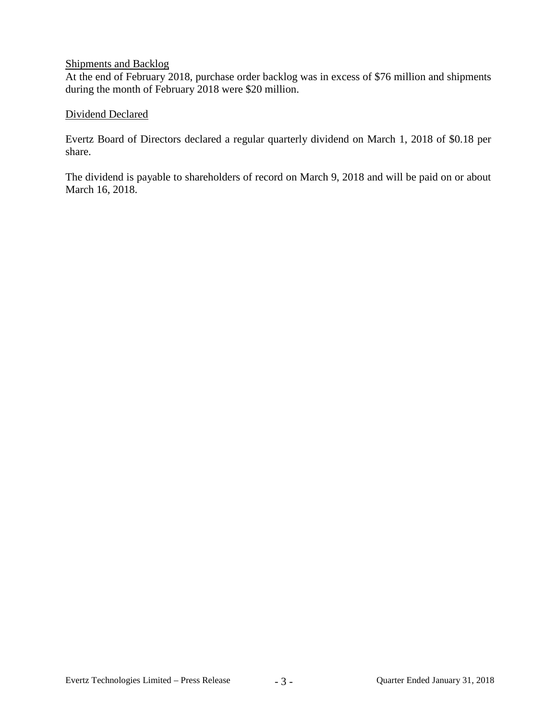# Shipments and Backlog

At the end of February 2018, purchase order backlog was in excess of \$76 million and shipments during the month of February 2018 were \$20 million.

# Dividend Declared

Evertz Board of Directors declared a regular quarterly dividend on March 1, 2018 of \$0.18 per share.

The dividend is payable to shareholders of record on March 9, 2018 and will be paid on or about March 16, 2018.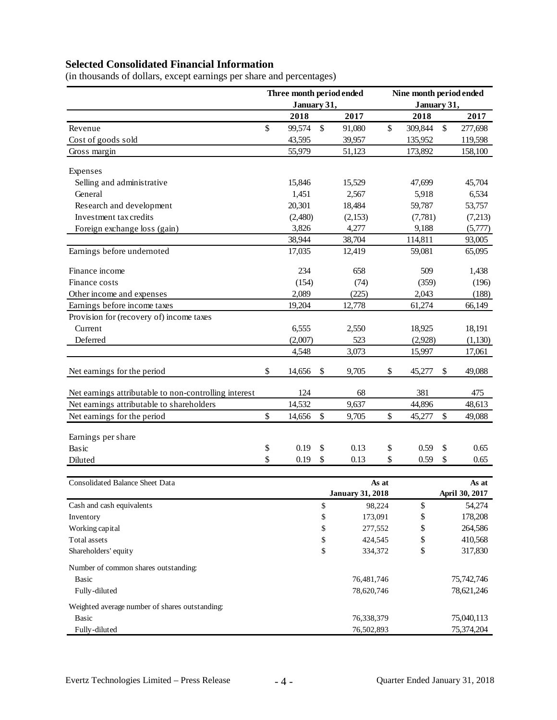# **Selected Consolidated Financial Information**

|                                                                | Three month period ended |             |              | Nine month period ended |       |             |    |                         |  |
|----------------------------------------------------------------|--------------------------|-------------|--------------|-------------------------|-------|-------------|----|-------------------------|--|
|                                                                |                          | January 31, |              |                         |       | January 31, |    |                         |  |
|                                                                |                          | 2018        |              | 2017                    |       | 2018        |    | 2017                    |  |
| Revenue                                                        | \$                       | 99,574      | \$           | 91,080                  | \$    | 309,844     | \$ | 277,698                 |  |
| Cost of goods sold                                             |                          | 43,595      |              | 39,957                  |       | 135,952     |    | 119,598                 |  |
| Gross margin                                                   |                          | 55,979      |              | 51,123                  |       | 173,892     |    | 158,100                 |  |
| Expenses                                                       |                          |             |              |                         |       |             |    |                         |  |
| Selling and administrative                                     |                          | 15,846      |              | 15,529                  |       | 47,699      |    | 45,704                  |  |
| General                                                        |                          | 1,451       |              | 2,567                   |       | 5,918       |    | 6,534                   |  |
| Research and development                                       |                          | 20,301      |              | 18,484                  |       | 59,787      |    | 53,757                  |  |
| Investment tax credits                                         |                          | (2,480)     |              | (2,153)                 |       | (7,781)     |    | (7,213)                 |  |
| Foreign exchange loss (gain)                                   |                          | 3,826       |              | 4,277                   |       | 9,188       |    | (5,777)                 |  |
|                                                                |                          | 38,944      |              | 38,704                  |       | 114,811     |    | 93,005                  |  |
| Earnings before undernoted                                     |                          | 17,035      |              | 12,419                  |       | 59,081      |    | 65,095                  |  |
| Finance income                                                 |                          | 234         |              | 658                     |       | 509         |    | 1,438                   |  |
| Finance costs                                                  |                          | (154)       |              | (74)                    |       | (359)       |    | (196)                   |  |
| Other income and expenses                                      |                          | 2,089       |              | (225)                   |       | 2,043       |    | (188)                   |  |
| Earnings before income taxes                                   |                          | 19,204      |              | 12,778                  |       | 61,274      |    | 66,149                  |  |
| Provision for (recovery of) income taxes                       |                          |             |              |                         |       |             |    |                         |  |
| Current                                                        |                          | 6,555       |              | 2,550                   |       | 18,925      |    | 18,191                  |  |
| Deferred                                                       |                          | (2,007)     |              | 523                     |       | (2,928)     |    | (1, 130)                |  |
|                                                                |                          | 4,548       |              | 3,073                   |       | 15,997      |    | 17,061                  |  |
| Net earnings for the period                                    | \$                       | 14,656      | $\mathbb{S}$ | 9,705                   | \$    | 45,277      | \$ | 49,088                  |  |
| Net earnings attributable to non-controlling interest          |                          | 124         |              | 68                      |       | 381         |    | 475                     |  |
| Net earnings attributable to shareholders                      |                          | 14,532      |              | 9,637                   |       | 44,896      |    | 48,613                  |  |
| Net earnings for the period                                    | \$                       | 14,656      | \$           | 9,705                   | \$    | 45,277      | \$ | 49,088                  |  |
|                                                                |                          |             |              |                         |       |             |    |                         |  |
| Earnings per share                                             |                          |             |              |                         |       |             |    |                         |  |
| Basic                                                          | \$                       | 0.19        | \$           | 0.13                    | \$    | 0.59        | \$ | 0.65                    |  |
| Diluted                                                        | \$                       | 0.19        | \$           | 0.13                    | \$    | 0.59        | \$ | 0.65                    |  |
|                                                                |                          |             |              |                         |       |             |    |                         |  |
| Consolidated Balance Sheet Data                                |                          |             |              | <b>January 31, 2018</b> | As at |             |    | As at<br>April 30, 2017 |  |
| Cash and cash equivalents                                      |                          |             | \$           | 98,224                  |       | \$          |    | 54,274                  |  |
| Inventory                                                      |                          |             | \$           | 173,091                 |       | \$          |    | 178,208                 |  |
| Working capital                                                |                          |             | \$           | 277,552                 |       | \$          |    | 264,586                 |  |
| Total assets                                                   |                          |             | \$           | 424,545                 |       | \$          |    | 410,568                 |  |
| Shareholders' equity                                           |                          |             | \$           | 334,372                 |       | \$          |    | 317,830                 |  |
| Number of common shares outstanding:                           |                          |             |              |                         |       |             |    |                         |  |
| Basic                                                          |                          |             |              | 76,481,746              |       |             |    | 75,742,746              |  |
| Fully-diluted                                                  |                          |             |              | 78,620,746              |       |             |    | 78,621,246              |  |
|                                                                |                          |             |              |                         |       |             |    |                         |  |
| Weighted average number of shares outstanding:<br><b>Basic</b> |                          |             |              |                         |       |             |    |                         |  |
|                                                                |                          |             |              | 76,338,379              |       |             |    | 75,040,113              |  |
| Fully-diluted                                                  |                          |             |              | 76,502,893              |       |             |    | 75,374,204              |  |